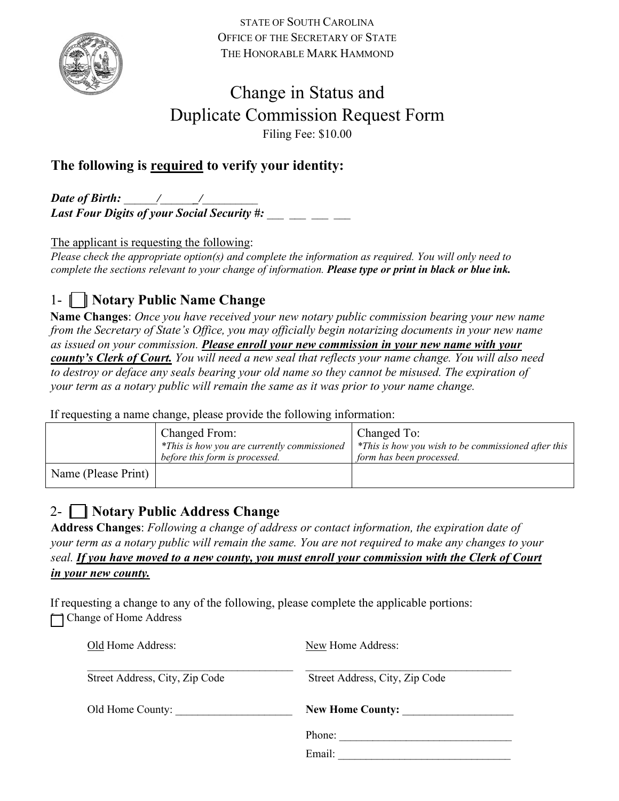

STATE OF SOUTH CAROLINA OFFICE OF THE SECRETARY OF STATE THE HONORABLE MARK HAMMOND

# Change in Status and Duplicate Commission Request Form Filing Fee: \$10.00

### **The following is required to verify your identity:**

*Date of Birth: \_\_\_\_\_\_/\_\_\_\_\_\_\_/\_\_\_\_\_\_\_\_\_\_*  Last Four Digits of your Social Security #:

The applicant is requesting the following:

*Please check the appropriate option(s) and complete the information as required. You will only need to complete the sections relevant to your change of information. Please type or print in black or blue ink.*

## 1- [ ] **Notary Public Name Change**

**Name Changes**: *Once you have received your new notary public commission bearing your new name from the Secretary of State's Office, you may officially begin notarizing documents in your new name as issued on your commission. Please enroll your new commission in your new name with your county's Clerk of Court. You will need a new seal that reflects your name change. You will also need to destroy or deface any seals bearing your old name so they cannot be misused. The expiration of your term as a notary public will remain the same as it was prior to your name change.* 

If requesting a name change, please provide the following information:

|                     | Changed From:<br>*This is how you are currently commissioned<br>before this form is processed. | Changed To:<br>*This is how you wish to be commissioned after this<br>form has been processed. |
|---------------------|------------------------------------------------------------------------------------------------|------------------------------------------------------------------------------------------------|
| Name (Please Print) |                                                                                                |                                                                                                |

### 2- [ ] **Notary Public Address Change**

**Address Changes**: *Following a change of address or contact information, the expiration date of your term as a notary public will remain the same. You are not required to make any changes to your seal. If you have moved to a new county, you must enroll your commission with the Clerk of Court in your new county.* 

If requesting a change to any of the following, please complete the applicable portions: **T** Change of Home Address

| Old Home Address:              | New Home Address:              |
|--------------------------------|--------------------------------|
| Street Address, City, Zip Code | Street Address, City, Zip Code |
| Old Home County:               | <b>New Home County:</b>        |
|                                | Phone:                         |
|                                | Email:                         |